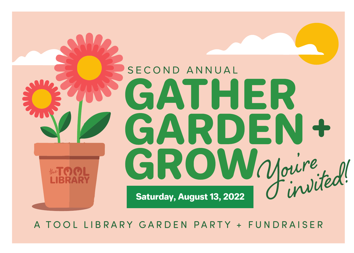

A TOOL LIBRARY GARDEN PARTY + FUNDRAISER